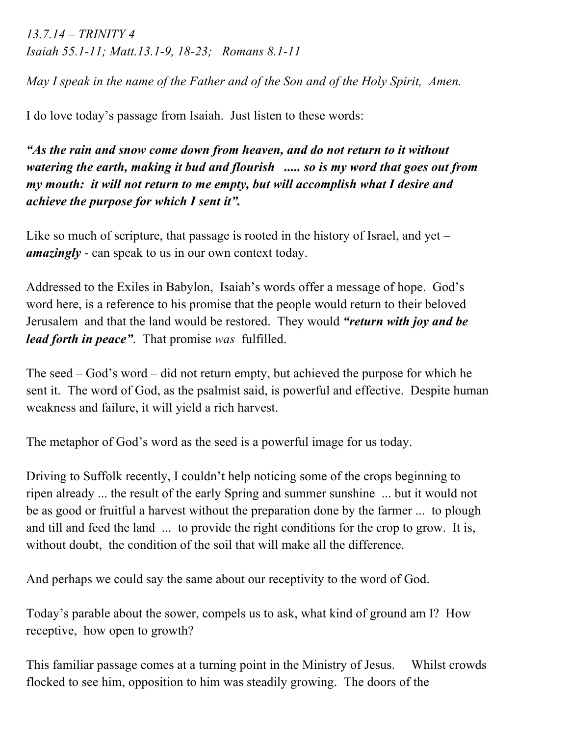*13.7.14 – TRINITY 4 Isaiah 55.1-11; Matt.13.1-9, 18-23; Romans 8.1-11*

*May I speak in the name of the Father and of the Son and of the Holy Spirit, Amen.*

I do love today's passage from Isaiah. Just listen to these words:

*"As the rain and snow come down from heaven, and do not return to it without watering the earth, making it bud and flourish ..... so is my word that goes out from my mouth: it will not return to me empty, but will accomplish what I desire and achieve the purpose for which I sent it".*

Like so much of scripture, that passage is rooted in the history of Israel, and yet – *amazingly* - can speak to us in our own context today.

Addressed to the Exiles in Babylon, Isaiah's words offer a message of hope. God's word here, is a reference to his promise that the people would return to their beloved Jerusalem and that the land would be restored. They would *"return with joy and be lead forth in peace"*. That promise *was* fulfilled.

The seed – God's word – did not return empty, but achieved the purpose for which he sent it. The word of God, as the psalmist said, is powerful and effective. Despite human weakness and failure, it will yield a rich harvest.

The metaphor of God's word as the seed is a powerful image for us today.

Driving to Suffolk recently, I couldn't help noticing some of the crops beginning to ripen already ... the result of the early Spring and summer sunshine ... but it would not be as good or fruitful a harvest without the preparation done by the farmer ... to plough and till and feed the land ... to provide the right conditions for the crop to grow. It is, without doubt, the condition of the soil that will make all the difference.

And perhaps we could say the same about our receptivity to the word of God.

Today's parable about the sower, compels us to ask, what kind of ground am I? How receptive, how open to growth?

This familiar passage comes at a turning point in the Ministry of Jesus. Whilst crowds flocked to see him, opposition to him was steadily growing. The doors of the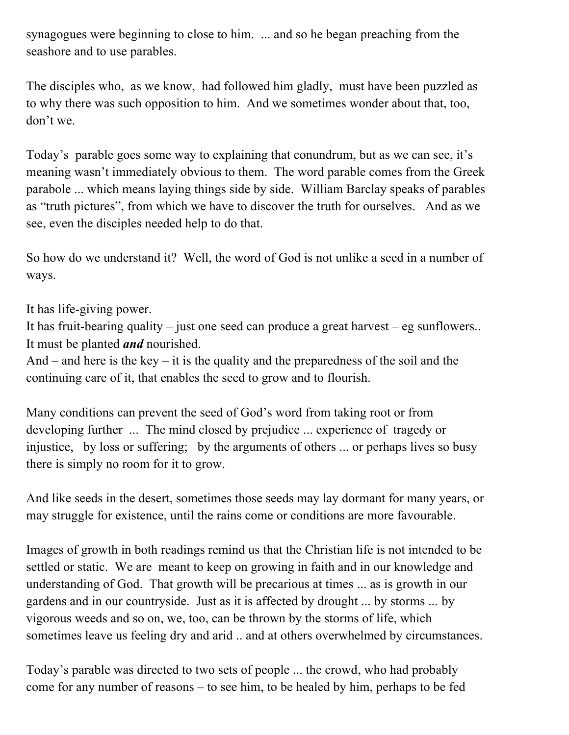synagogues were beginning to close to him. ... and so he began preaching from the seashore and to use parables.

The disciples who, as we know, had followed him gladly, must have been puzzled as to why there was such opposition to him. And we sometimes wonder about that, too, don't we.

Today's parable goes some way to explaining that conundrum, but as we can see, it's meaning wasn't immediately obvious to them. The word parable comes from the Greek parabole ... which means laying things side by side. William Barclay speaks of parables as "truth pictures", from which we have to discover the truth for ourselves. And as we see, even the disciples needed help to do that.

So how do we understand it? Well, the word of God is not unlike a seed in a number of ways.

It has life-giving power.

It has fruit-bearing quality – just one seed can produce a great harvest – eg sunflowers.. It must be planted *and* nourished.

And – and here is the key – it is the quality and the preparedness of the soil and the continuing care of it, that enables the seed to grow and to flourish.

Many conditions can prevent the seed of God's word from taking root or from developing further ... The mind closed by prejudice ... experience of tragedy or injustice, by loss or suffering; by the arguments of others ... or perhaps lives so busy there is simply no room for it to grow.

And like seeds in the desert, sometimes those seeds may lay dormant for many years, or may struggle for existence, until the rains come or conditions are more favourable.

Images of growth in both readings remind us that the Christian life is not intended to be settled or static. We are meant to keep on growing in faith and in our knowledge and understanding of God. That growth will be precarious at times ... as is growth in our gardens and in our countryside. Just as it is affected by drought ... by storms ... by vigorous weeds and so on, we, too, can be thrown by the storms of life, which sometimes leave us feeling dry and arid .. and at others overwhelmed by circumstances.

Today's parable was directed to two sets of people ... the crowd, who had probably come for any number of reasons – to see him, to be healed by him, perhaps to be fed